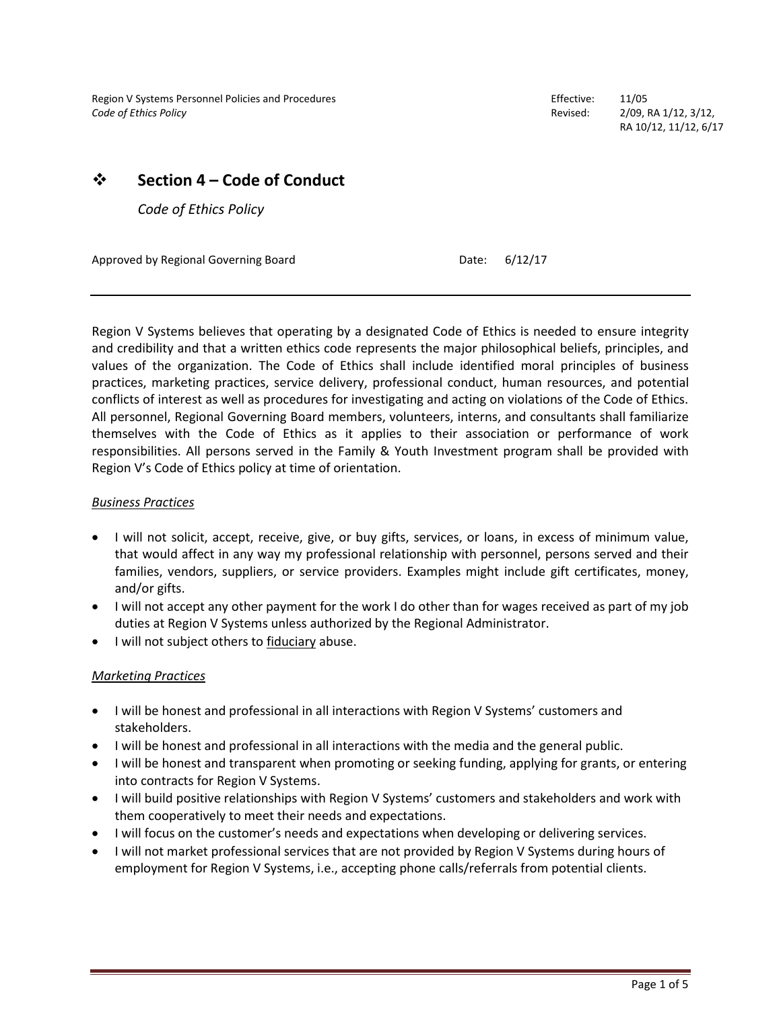Region V Systems Personnel Policies and Procedures **Effective:** 11/05 *Code of Ethics Policy* Revised: 2/09, RA 1/12, 3/12,

RA 10/12, 11/12, 6/17

# ❖ **Section 4 – Code of Conduct**

*Code of Ethics Policy*

Approved by Regional Governing Board **Date:** 6/12/17

Region V Systems believes that operating by a designated Code of Ethics is needed to ensure integrity and credibility and that a written ethics code represents the major philosophical beliefs, principles, and values of the organization. The Code of Ethics shall include identified moral principles of business practices, marketing practices, service delivery, professional conduct, human resources, and potential conflicts of interest as well as procedures for investigating and acting on violations of the Code of Ethics. All personnel, Regional Governing Board members, volunteers, interns, and consultants shall familiarize themselves with the Code of Ethics as it applies to their association or performance of work responsibilities. All persons served in the Family & Youth Investment program shall be provided with Region V's Code of Ethics policy at time of orientation.

#### *Business Practices*

- I will not solicit, accept, receive, give, or buy gifts, services, or loans, in excess of minimum value, that would affect in any way my professional relationship with personnel, persons served and their families, vendors, suppliers, or service providers. Examples might include gift certificates, money, and/or gifts.
- I will not accept any other payment for the work I do other than for wages received as part of my job duties at Region V Systems unless authorized by the Regional Administrator.
- I will not subject others to fiduciary abuse.

## *Marketing Practices*

- I will be honest and professional in all interactions with Region V Systems' customers and stakeholders.
- I will be honest and professional in all interactions with the media and the general public.
- I will be honest and transparent when promoting or seeking funding, applying for grants, or entering into contracts for Region V Systems.
- I will build positive relationships with Region V Systems' customers and stakeholders and work with them cooperatively to meet their needs and expectations.
- I will focus on the customer's needs and expectations when developing or delivering services.
- I will not market professional services that are not provided by Region V Systems during hours of employment for Region V Systems, i.e., accepting phone calls/referrals from potential clients.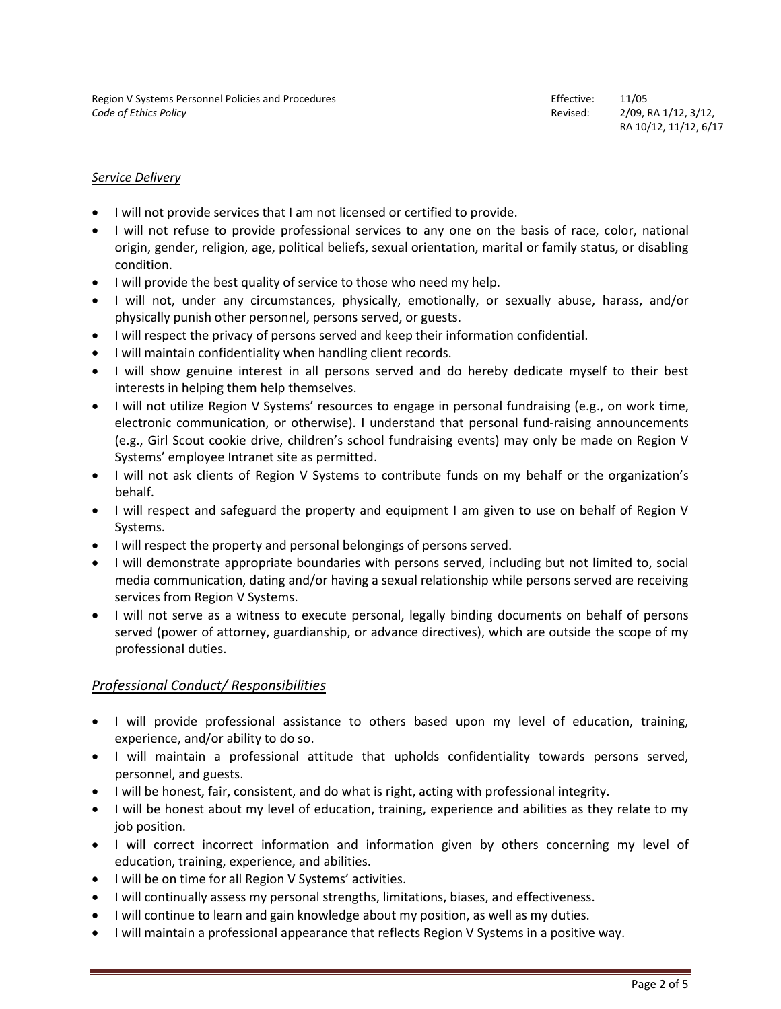## *Service Delivery*

- I will not provide services that I am not licensed or certified to provide.
- I will not refuse to provide professional services to any one on the basis of race, color, national origin, gender, religion, age, political beliefs, sexual orientation, marital or family status, or disabling condition.
- I will provide the best quality of service to those who need my help.
- I will not, under any circumstances, physically, emotionally, or sexually abuse, harass, and/or physically punish other personnel, persons served, or guests.
- I will respect the privacy of persons served and keep their information confidential.
- I will maintain confidentiality when handling client records.
- I will show genuine interest in all persons served and do hereby dedicate myself to their best interests in helping them help themselves.
- I will not utilize Region V Systems' resources to engage in personal fundraising (e.g., on work time, electronic communication, or otherwise). I understand that personal fund-raising announcements (e.g., Girl Scout cookie drive, children's school fundraising events) may only be made on Region V Systems' employee Intranet site as permitted.
- I will not ask clients of Region V Systems to contribute funds on my behalf or the organization's behalf.
- I will respect and safeguard the property and equipment I am given to use on behalf of Region V Systems.
- I will respect the property and personal belongings of persons served.
- I will demonstrate appropriate boundaries with persons served, including but not limited to, social media communication, dating and/or having a sexual relationship while persons served are receiving services from Region V Systems.
- I will not serve as a witness to execute personal, legally binding documents on behalf of persons served (power of attorney, guardianship, or advance directives), which are outside the scope of my professional duties.

# *Professional Conduct/ Responsibilities*

- I will provide professional assistance to others based upon my level of education, training, experience, and/or ability to do so.
- I will maintain a professional attitude that upholds confidentiality towards persons served, personnel, and guests.
- I will be honest, fair, consistent, and do what is right, acting with professional integrity.
- I will be honest about my level of education, training, experience and abilities as they relate to my job position.
- I will correct incorrect information and information given by others concerning my level of education, training, experience, and abilities.
- I will be on time for all Region V Systems' activities.
- I will continually assess my personal strengths, limitations, biases, and effectiveness.
- I will continue to learn and gain knowledge about my position, as well as my duties.
- I will maintain a professional appearance that reflects Region V Systems in a positive way.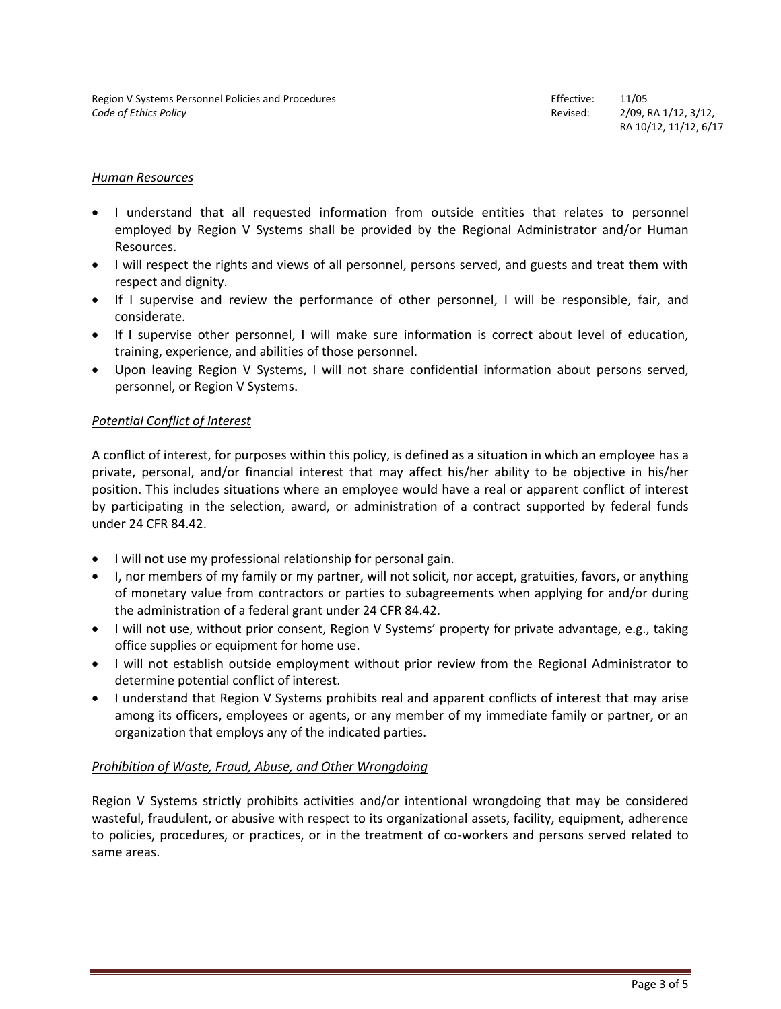#### *Human Resources*

- I understand that all requested information from outside entities that relates to personnel employed by Region V Systems shall be provided by the Regional Administrator and/or Human Resources.
- I will respect the rights and views of all personnel, persons served, and guests and treat them with respect and dignity.
- If I supervise and review the performance of other personnel, I will be responsible, fair, and considerate.
- If I supervise other personnel, I will make sure information is correct about level of education, training, experience, and abilities of those personnel.
- Upon leaving Region V Systems, I will not share confidential information about persons served, personnel, or Region V Systems.

#### *Potential Conflict of Interest*

A conflict of interest, for purposes within this policy, is defined as a situation in which an employee has a private, personal, and/or financial interest that may affect his/her ability to be objective in his/her position. This includes situations where an employee would have a real or apparent conflict of interest by participating in the selection, award, or administration of a contract supported by federal funds under 24 CFR 84.42.

- I will not use my professional relationship for personal gain.
- I, nor members of my family or my partner, will not solicit, nor accept, gratuities, favors, or anything of monetary value from contractors or parties to subagreements when applying for and/or during the administration of a federal grant under 24 CFR 84.42.
- I will not use, without prior consent, Region V Systems' property for private advantage, e.g., taking office supplies or equipment for home use.
- I will not establish outside employment without prior review from the Regional Administrator to determine potential conflict of interest.
- I understand that Region V Systems prohibits real and apparent conflicts of interest that may arise among its officers, employees or agents, or any member of my immediate family or partner, or an organization that employs any of the indicated parties.

## *Prohibition of Waste, Fraud, Abuse, and Other Wrongdoing*

Region V Systems strictly prohibits activities and/or intentional wrongdoing that may be considered wasteful, fraudulent, or abusive with respect to its organizational assets, facility, equipment, adherence to policies, procedures, or practices, or in the treatment of co-workers and persons served related to same areas.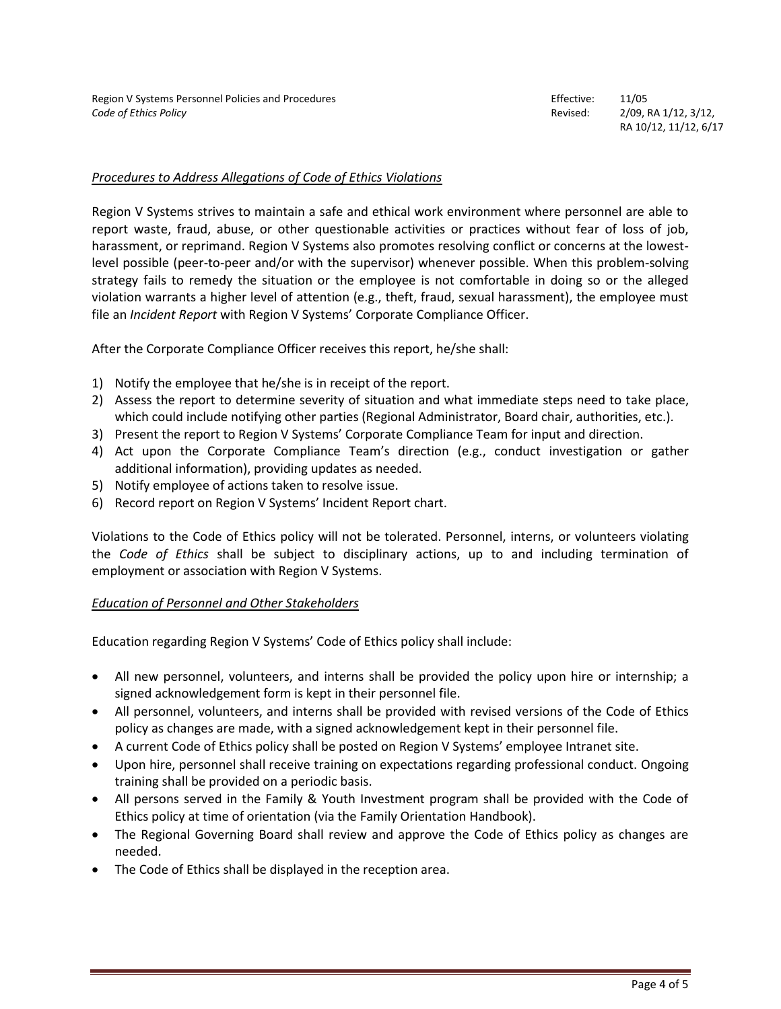## *Procedures to Address Allegations of Code of Ethics Violations*

Region V Systems strives to maintain a safe and ethical work environment where personnel are able to report waste, fraud, abuse, or other questionable activities or practices without fear of loss of job, harassment, or reprimand. Region V Systems also promotes resolving conflict or concerns at the lowestlevel possible (peer-to-peer and/or with the supervisor) whenever possible. When this problem-solving strategy fails to remedy the situation or the employee is not comfortable in doing so or the alleged violation warrants a higher level of attention (e.g., theft, fraud, sexual harassment), the employee must file an *Incident Report* with Region V Systems' Corporate Compliance Officer.

After the Corporate Compliance Officer receives this report, he/she shall:

- 1) Notify the employee that he/she is in receipt of the report.
- 2) Assess the report to determine severity of situation and what immediate steps need to take place, which could include notifying other parties (Regional Administrator, Board chair, authorities, etc.).
- 3) Present the report to Region V Systems' Corporate Compliance Team for input and direction.
- 4) Act upon the Corporate Compliance Team's direction (e.g., conduct investigation or gather additional information), providing updates as needed.
- 5) Notify employee of actions taken to resolve issue.
- 6) Record report on Region V Systems' Incident Report chart.

Violations to the Code of Ethics policy will not be tolerated. Personnel, interns, or volunteers violating the *Code of Ethics* shall be subject to disciplinary actions, up to and including termination of employment or association with Region V Systems.

## *Education of Personnel and Other Stakeholders*

Education regarding Region V Systems' Code of Ethics policy shall include:

- All new personnel, volunteers, and interns shall be provided the policy upon hire or internship; a signed acknowledgement form is kept in their personnel file.
- All personnel, volunteers, and interns shall be provided with revised versions of the Code of Ethics policy as changes are made, with a signed acknowledgement kept in their personnel file.
- A current Code of Ethics policy shall be posted on Region V Systems' employee Intranet site.
- Upon hire, personnel shall receive training on expectations regarding professional conduct. Ongoing training shall be provided on a periodic basis.
- All persons served in the Family & Youth Investment program shall be provided with the Code of Ethics policy at time of orientation (via the Family Orientation Handbook).
- The Regional Governing Board shall review and approve the Code of Ethics policy as changes are needed.
- The Code of Ethics shall be displayed in the reception area.